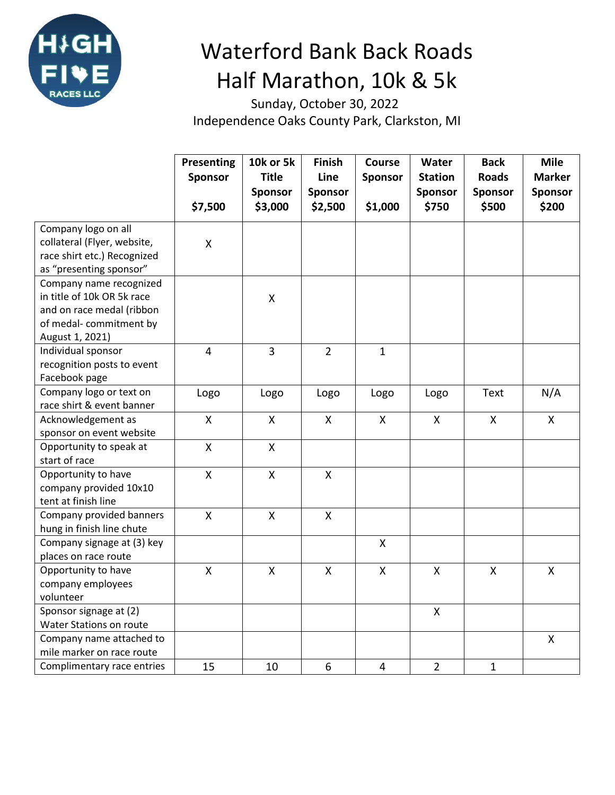

## Waterford Bank Back Roads Half Marathon, 10k & 5k

 Sunday, October 30, 2022 Independence Oaks County Park, Clarkston, MI

|                             | <b>Presenting</b>       | <b>10k or 5k</b>   | <b>Finish</b>      | Course                    | Water              | <b>Back</b>        | <b>Mile</b>             |
|-----------------------------|-------------------------|--------------------|--------------------|---------------------------|--------------------|--------------------|-------------------------|
|                             | <b>Sponsor</b>          | <b>Title</b>       | Line               | Sponsor                   | <b>Station</b>     | <b>Roads</b>       | <b>Marker</b>           |
|                             |                         | <b>Sponsor</b>     | <b>Sponsor</b>     |                           | Sponsor            | <b>Sponsor</b>     | <b>Sponsor</b>          |
|                             | \$7,500                 | \$3,000            | \$2,500            | \$1,000                   | \$750              | \$500              | \$200                   |
| Company logo on all         |                         |                    |                    |                           |                    |                    |                         |
| collateral (Flyer, website, | X                       |                    |                    |                           |                    |                    |                         |
| race shirt etc.) Recognized |                         |                    |                    |                           |                    |                    |                         |
| as "presenting sponsor"     |                         |                    |                    |                           |                    |                    |                         |
| Company name recognized     |                         |                    |                    |                           |                    |                    |                         |
| in title of 10k OR 5k race  |                         | $\pmb{\mathsf{X}}$ |                    |                           |                    |                    |                         |
| and on race medal (ribbon   |                         |                    |                    |                           |                    |                    |                         |
| of medal-commitment by      |                         |                    |                    |                           |                    |                    |                         |
| August 1, 2021)             |                         |                    |                    |                           |                    |                    |                         |
| Individual sponsor          | $\overline{4}$          | $\overline{3}$     | $\overline{2}$     | $\mathbf{1}$              |                    |                    |                         |
| recognition posts to event  |                         |                    |                    |                           |                    |                    |                         |
| Facebook page               |                         |                    |                    |                           |                    |                    |                         |
| Company logo or text on     | Logo                    | Logo               | Logo               | Logo                      | Logo               | Text               | N/A                     |
| race shirt & event banner   |                         |                    |                    |                           |                    |                    |                         |
| Acknowledgement as          | X                       | X                  | X                  | $\boldsymbol{\mathsf{X}}$ | X                  | $\pmb{\mathsf{X}}$ | X                       |
| sponsor on event website    |                         |                    |                    |                           |                    |                    |                         |
| Opportunity to speak at     | X                       | X                  |                    |                           |                    |                    |                         |
| start of race               |                         |                    |                    |                           |                    |                    |                         |
| Opportunity to have         | $\mathsf{X}$            | $\pmb{\mathsf{X}}$ | $\pmb{\mathsf{X}}$ |                           |                    |                    |                         |
| company provided 10x10      |                         |                    |                    |                           |                    |                    |                         |
| tent at finish line         |                         |                    |                    |                           |                    |                    |                         |
| Company provided banners    | $\pmb{\mathsf{X}}$      | $\pmb{\mathsf{X}}$ | $\pmb{\mathsf{X}}$ |                           |                    |                    |                         |
| hung in finish line chute   |                         |                    |                    |                           |                    |                    |                         |
| Company signage at (3) key  |                         |                    |                    | $\boldsymbol{\mathsf{X}}$ |                    |                    |                         |
| places on race route        |                         |                    |                    |                           |                    |                    |                         |
| Opportunity to have         | $\overline{\mathsf{X}}$ | $\pmb{\mathsf{X}}$ | $\pmb{\mathsf{X}}$ | $\pmb{\mathsf{X}}$        | $\pmb{\mathsf{X}}$ | $\pmb{\mathsf{X}}$ | $\overline{\mathsf{X}}$ |
| company employees           |                         |                    |                    |                           |                    |                    |                         |
| volunteer                   |                         |                    |                    |                           |                    |                    |                         |
| Sponsor signage at (2)      |                         |                    |                    |                           | X                  |                    |                         |
| Water Stations on route     |                         |                    |                    |                           |                    |                    |                         |
| Company name attached to    |                         |                    |                    |                           |                    |                    | $\pmb{\mathsf{X}}$      |
| mile marker on race route   |                         |                    |                    |                           |                    |                    |                         |
| Complimentary race entries  | 15                      | 10                 | 6                  | $\overline{4}$            | $\overline{2}$     | $\mathbf{1}$       |                         |